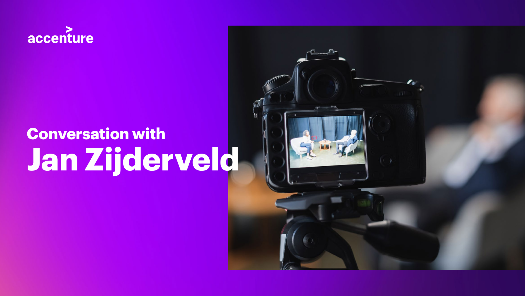

# **Conversation with Jan Zijderveld**

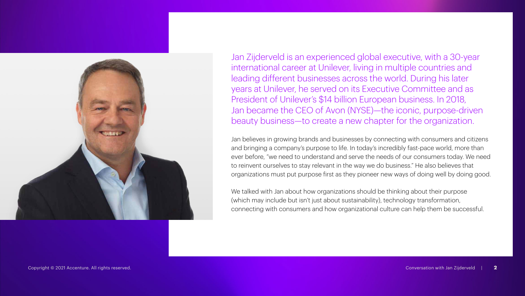

Jan Zijderveld is an experienced global executive, with a 30-year international career at Unilever, living in multiple countries and leading different businesses across the world. During his later years at Unilever, he served on its Executive Committee and as President of Unilever's \$14 billion European business. In 2018, Jan became the CEO of Avon (NYSE)—the iconic, purpose-driven beauty business—to create a new chapter for the organization.

Jan believes in growing brands and businesses by connecting with consumers and citizens and bringing a company's purpose to life. In today's incredibly fast-pace world, more than ever before, "we need to understand and serve the needs of our consumers today. We need to reinvent ourselves to stay relevant in the way we do business." He also believes that organizations must put purpose first as they pioneer new ways of doing well by doing good.

We talked with Jan about how organizations should be thinking about their purpose (which may include but isn't just about sustainability), technology transformation, connecting with consumers and how organizational culture can help them be successful.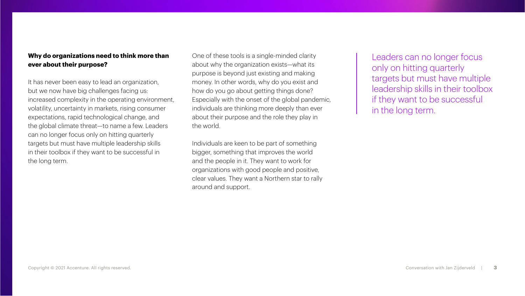#### **Why do organizations need to think more than ever about their purpose?**

It has never been easy to lead an organization, but we now have big challenges facing us: increased complexity in the operating environment, volatility, uncertainty in markets, rising consumer expectations, rapid technological change, and the global climate threat—to name a few. Leaders can no longer focus only on hitting quarterly targets but must have multiple leadership skills in their toolbox if they want to be successful in the long term.

One of these tools is a single-minded clarity about why the organization exists—what its purpose is beyond just existing and making money. In other words, why do you exist and how do you go about getting things done? Especially with the onset of the global pandemic, individuals are thinking more deeply than ever about their purpose and the role they play in the world.

Individuals are keen to be part of something bigger, something that improves the world and the people in it. They want to work for organizations with good people and positive, clear values. They want a Northern star to rally around and support.

Leaders can no longer focus only on hitting quarterly targets but must have multiple leadership skills in their toolbox if they want to be successful in the long term.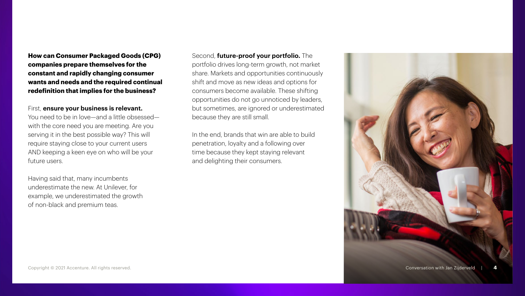**How can Consumer Packaged Goods (CPG) companies prepare themselves for the constant and rapidly changing consumer wants and needs and the required continual redefinition that implies for the business?**

#### First, **ensure your business is relevant.**

You need to be in love—and a little obsessed with the core need you are meeting. Are you serving it in the best possible way? This will require staying close to your current users AND keeping a keen eye on who will be your future users.

Having said that, many incumbents underestimate the new. At Unilever, for example, we underestimated the growth of non-black and premium teas.

Second, **future-proof your portfolio.** The portfolio drives long-term growth, not market share. Markets and opportunities continuously shift and move as new ideas and options for consumers become available. These shifting opportunities do not go unnoticed by leaders, but sometimes, are ignored or underestimated because they are still small.

In the end, brands that win are able to build penetration, loyalty and a following over time because they kept staying relevant and delighting their consumers.

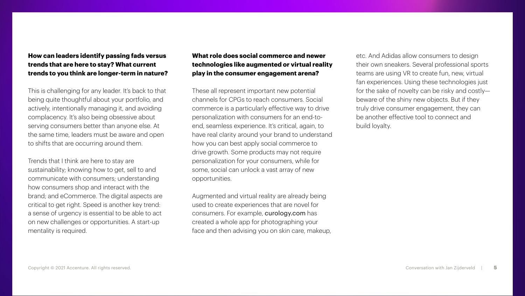#### **How can leaders identify passing fads versus trends that are here to stay? What current trends to you think are longer-term in nature?**

This is challenging for any leader. It's back to that being quite thoughtful about your portfolio, and actively, intentionally managing it, and avoiding complacency. It's also being obsessive about serving consumers better than anyone else. At the same time, leaders must be aware and open to shifts that are occurring around them.

Trends that I think are here to stay are sustainability; knowing how to get, sell to and communicate with consumers; understanding how consumers shop and interact with the brand; and eCommerce. The digital aspects are critical to get right. Speed is another key trend: a sense of urgency is essential to be able to act on new challenges or opportunities. A start-up mentality is required.

#### **What role does social commerce and newer technologies like augmented or virtual reality play in the consumer engagement arena?**

These all represent important new potential channels for CPGs to reach consumers. Social commerce is a particularly effective way to drive personalization with consumers for an end-toend, seamless experience. It's critical, again, to have real clarity around your brand to understand how you can best apply social commerce to drive growth. Some products may not require personalization for your consumers, while for some, social can unlock a vast array of new opportunities.

Augmented and virtual reality are already being used to create experiences that are novel for consumers. For example, [curology.com](http://curology.com) has created a whole app for photographing your face and then advising you on skin care, makeup, etc. And Adidas allow consumers to design their own sneakers. Several professional sports teams are using VR to create fun, new, virtual fan experiences. Using these technologies just for the sake of novelty can be risky and costly beware of the shiny new objects. But if they truly drive consumer engagement, they can be another effective tool to connect and build loyalty.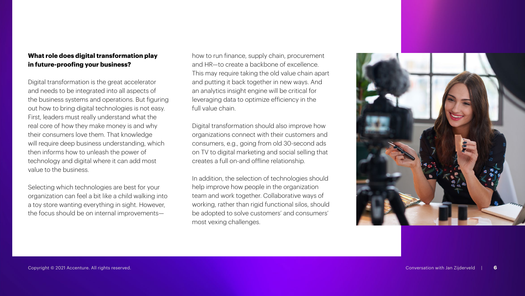#### **What role does digital transformation play in future-proofing your business?**

Digital transformation is the great accelerator and needs to be integrated into all aspects of the business systems and operations. But figuring out how to bring digital technologies is not easy. First, leaders must really understand what the real core of how they make money is and why their consumers love them. That knowledge will require deep business understanding, which then informs how to unleash the power of technology and digital where it can add most value to the business.

Selecting which technologies are best for your organization can feel a bit like a child walking into a toy store wanting everything in sight. However, the focus should be on internal improvementshow to run finance, supply chain, procurement and HR—to create a backbone of excellence. This may require taking the old value chain apart and putting it back together in new ways. And an analytics insight engine will be critical for leveraging data to optimize efficiency in the full value chain.

Digital transformation should also improve how organizations connect with their customers and consumers, e.g., going from old 30-second ads on TV to digital marketing and social selling that creates a full on-and offline relationship.

In addition, the selection of technologies should help improve how people in the organization team and work together. Collaborative ways of working, rather than rigid functional silos, should be adopted to solve customers' and consumers' most vexing challenges.

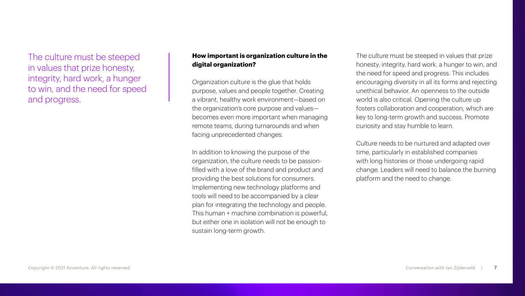The culture must be steeped in values that prize honesty, integrity, hard work, a hunger to win, and the need for speed and progress.

### **How important is organization culture in the digital organization?**

Organization culture is the glue that holds purpose, values and people together. Creating a vibrant, healthy work environment—based on the organization's core purpose and values becomes even more important when managing remote teams, during turnarounds and when facing unprecedented changes.

In addition to knowing the purpose of the organization, the culture needs to be passionfilled with a love of the brand and product and providing the best solutions for consumers. Implementing new technology platforms and tools will need to be accompanied by a clear plan for integrating the technology and people. This human + machine combination is powerful, but either one in isolation will not be enough to sustain long-term growth.

The culture must be steeped in values that prize honesty, integrity, hard work, a hunger to win, and the need for speed and progress. This includes encouraging diversity in all its forms and rejecting unethical behavior. An openness to the outside world is also critical. Opening the culture up fosters collaboration and cooperation, which are key to long-term growth and success. Promote curiosity and stay humble to learn.

Culture needs to be nurtured and adapted over time, particularly in established companies with long histories or those undergoing rapid change. Leaders will need to balance the burning platform and the need to change.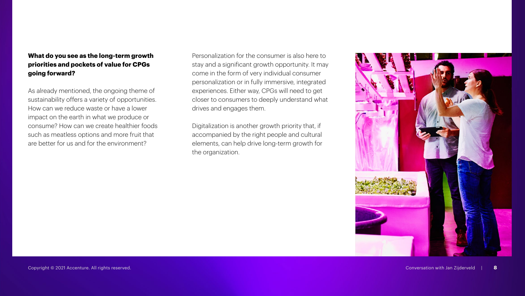### **What do you see as the long-term growth priorities and pockets of value for CPGs going forward?**

As already mentioned, the ongoing theme of sustainability offers a variety of opportunities. How can we reduce waste or have a lower impact on the earth in what we produce or consume? How can we create healthier foods such as meatless options and more fruit that are better for us and for the environment?

Personalization for the consumer is also here to stay and a significant growth opportunity. It may come in the form of very individual consumer personalization or in fully immersive, integrated experiences. Either way, CPGs will need to get closer to consumers to deeply understand what drives and engages them.

Digitalization is another growth priority that, if accompanied by the right people and cultural elements, can help drive long-term growth for the organization.